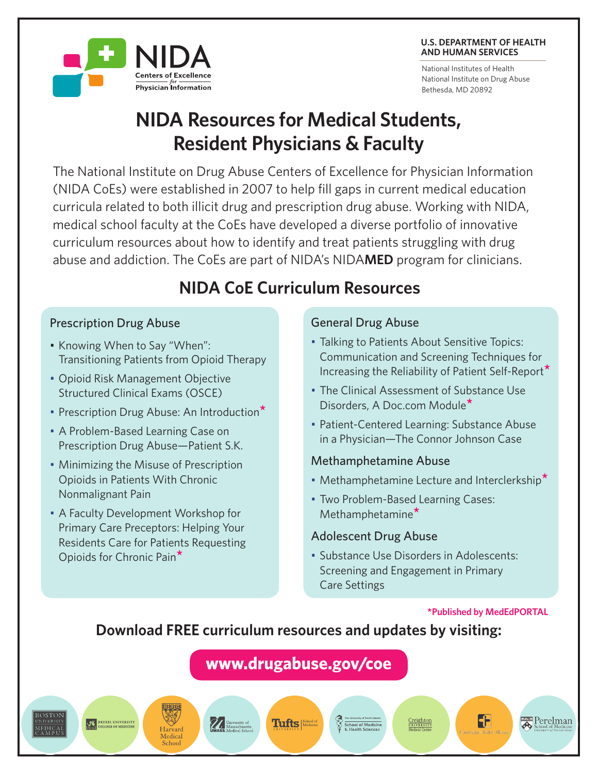#### **U.S. DEPARTMENT OF HEALTH AND HUMAN SERVICES**

National Institutes of Health National Institute on Drug Abuse Bethesda, MD 20892

# **NIDA Resources for Medical Students, Resident Physicians & Faculty**

The National Institute on Drug Abuse Centers of Excellence for Physician Information (NIDA CoEs) were established in 2007 to help fill gaps in current medical education curricula related to both illicit drug and prescription drug abuse. Working with NIDA, medical school faculty at the CoEs have developed a diverse portfolio of innovative curriculum resources about how to identify and treat patients struggling with drug abuse and addiction. The CoEs are part of NIDA's NIDA**MED** program for clinicians.

## **NIDA CoE Curriculum Resources**

#### Prescription Drug Abuse

• Knowing When to Say "When": Transitioning Patients from Opioid Therapy

**Centers of Excellence** Physician Information

- **Opioid Risk Management Objective** Structured Clinical Exams (OSCE)
- • Prescription Drug Abuse: An Introduction**\***
- A Problem-Based Learning Case on Prescription Drug Abuse—Patient S.K.
- Minimizing the Misuse of Prescription Opioids in Patients With Chronic Nonmalignant Pain
- A Faculty Development Workshop for Primary Care Preceptors: Helping Your Residents Care for Patients Requesting Opioids for Chronic Pain**\***

ve greege.

Harvard Medical School

*VA* University of<br>Massachusetts<br>**UMASS**. Medical Schoo

#### General Drug Abuse

- Talking to Patients About Sensitive Topics: Communication and Screening Techniques for Increasing the Reliability of Patient Self-Report**\***
- The Clinical Assessment of Substance Use Disorders, A Doc.com Module**\***
- Patient-Centered Learning: Substance Abuse in a Physician—The Connor Johnson Case

#### Methamphetamine Abuse

- • Methamphetamine Lecture and Interclerkship**\***
- Two Problem-Based Learning Cases: Methamphetamine**\***

#### Adolescent Drug Abuse

School of Medicin

• Substance Use Disorders in Adolescents: Screening and Engagement in Primary Care Settings

#### **\*Published by MedEdPORTAL**

6

**Perelman** 

## **Download FREE curriculum resources and updates by visiting:**

**[www.drugabuse.gov/coe](http://www.drugabuse.gov/coe)**

**Tufts** *School of* 



**OCE DREXEL UNIVERSITY**